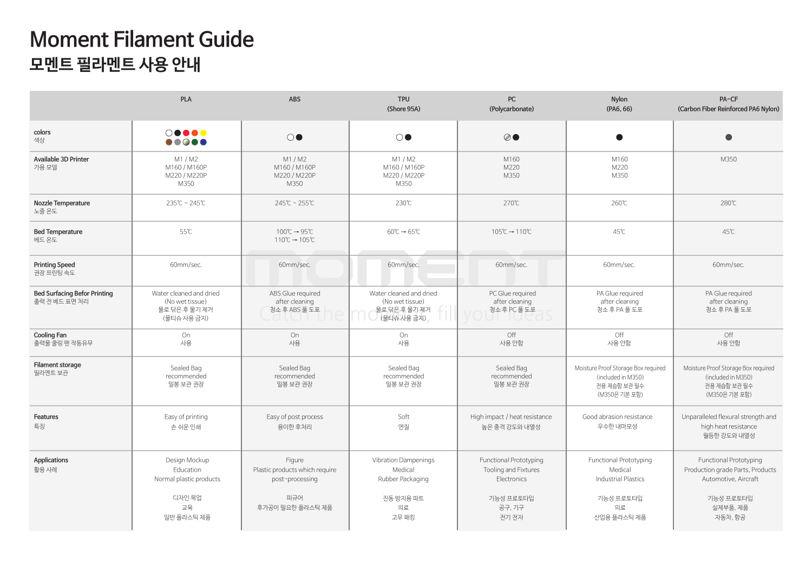## **Moment Filament Guide 모멘트 필라멘트 사용 안내**

|                                                      | <b>PLA</b>                                                                                                                                                                                                                                                                                                                                                                          | <b>ABS</b>                                                                             | <b>TPU</b><br>(Shore 95A)                                                              | PC<br>(Polycarbonate)                                                                                | <b>Nylon</b><br>(PA6, 66)                                                                                | PA-CF<br>(Carbon Fiber Reinforced PA6 Nylon)                                                                                  |  |
|------------------------------------------------------|-------------------------------------------------------------------------------------------------------------------------------------------------------------------------------------------------------------------------------------------------------------------------------------------------------------------------------------------------------------------------------------|----------------------------------------------------------------------------------------|----------------------------------------------------------------------------------------|------------------------------------------------------------------------------------------------------|----------------------------------------------------------------------------------------------------------|-------------------------------------------------------------------------------------------------------------------------------|--|
| colors<br>색상                                         | $\circ\bullet\bullet\bullet\bullet$<br>$\begin{picture}(150,20) \put(0,0){\line(1,0){0.5}} \put(15,0){\line(1,0){0.5}} \put(15,0){\line(1,0){0.5}} \put(15,0){\line(1,0){0.5}} \put(15,0){\line(1,0){0.5}} \put(15,0){\line(1,0){0.5}} \put(15,0){\line(1,0){0.5}} \put(15,0){\line(1,0){0.5}} \put(15,0){\line(1,0){0.5}} \put(15,0){\line(1,0){0.5}} \put(15,0){\line(1,0){0.5}}$ | $\circ\bullet$                                                                         | $\circ\bullet$                                                                         | $\oslash\bullet$                                                                                     | $\bullet$                                                                                                | $\bullet$                                                                                                                     |  |
| Available 3D Printer<br>가용 모델                        | M1 / M2<br>M160 / M160P<br>M220 / M220P<br>M350                                                                                                                                                                                                                                                                                                                                     | M1/M2<br>M160 / M160P<br>M220 / M220P<br>M350                                          | M1/M2<br>M160 / M160P<br>M220 / M220P<br>M350                                          | M160<br>M220<br>M350                                                                                 | M160<br>M220<br>M350                                                                                     | M350                                                                                                                          |  |
| Nozzle Temperature<br>노즐 온도                          | 235℃~245℃                                                                                                                                                                                                                                                                                                                                                                           | 245℃~255℃                                                                              | 230℃                                                                                   | 270℃                                                                                                 | 260℃                                                                                                     | 280℃                                                                                                                          |  |
| <b>Bed Temperature</b><br>베드 온도                      | 55℃                                                                                                                                                                                                                                                                                                                                                                                 | $100^{\circ}C \rightarrow 95^{\circ}C$<br>$110^{\circ}C \rightarrow 105^{\circ}C$      | $60^{\circ}C \rightarrow 65^{\circ}C$                                                  | 105℃→110℃                                                                                            | 45°C                                                                                                     | 45℃                                                                                                                           |  |
| <b>Printing Speed</b><br>권장 프린팅 속도                   | 60mm/sec.                                                                                                                                                                                                                                                                                                                                                                           | 60mm/sec.                                                                              | 60mm/sec.                                                                              | 60mm/sec.                                                                                            | 60mm/sec.                                                                                                | 60mm/sec.                                                                                                                     |  |
| <b>Bed Surfacing Befor Printing</b><br>출력 전 베드 표면 처리 | Water cleaned and dried<br>(No wet tissue)<br>물로 닦은 후 물기 제거<br>(물티슈 사용 금지)                                                                                                                                                                                                                                                                                                          | ABS Glue required<br>after cleaning<br>청소 후 ABS 풀 도포                                   | Water cleaned and dried<br>(No wet tissue)<br>물로 닦은 후 물기 제거<br>(물티슈 사용금지)              | PC Glue required<br>after cleaning<br>청소후PC 풀 도포                                                     | PA Glue required<br>after cleaning<br>청소 후 PA 풀 도포                                                       | PA Glue required<br>after cleaning<br>청소후PA 풀도포                                                                               |  |
| <b>Cooling Fan</b><br>출력물 쿨링 팬 작동유무                  | On<br>사용                                                                                                                                                                                                                                                                                                                                                                            | On<br>사용                                                                               | On<br>사용                                                                               | Off<br>사용 안함                                                                                         | Off<br>사용 안함                                                                                             | Off<br>사용 안함                                                                                                                  |  |
| Filament storage<br>필라멘트 보관                          | Sealed Bag<br>recommended<br>밀봉 보관 권장                                                                                                                                                                                                                                                                                                                                               | Sealed Bag<br>recommended<br>밀봉 보관 권장                                                  | Sealed Bag<br>recommended<br>밀봉 보관 권장                                                  | Sealed Bag<br>recommended<br>밀봉 보관 권장                                                                | Moisture Proof Storage Box required<br>(included in M350)<br>전용 제습함 보관 필수<br>(M350은 기본 포함)               | Moisture Proof Storage Box required<br>(included in M350)<br>전용 제습함 보관 필수<br>(M350은 기본 포함)                                    |  |
| Features<br>특징                                       | Easy of printing<br>손 쉬운 인쇄                                                                                                                                                                                                                                                                                                                                                         | Easy of post process<br>용이한 후처리                                                        | Soft<br>연질                                                                             | High impact / heat resistance<br>높은 충격 강도와 내열성                                                       | Good abrasion resistance<br>우수한 내마모성                                                                     | Unparalleled flexural strength and<br>high heat resistance<br>월등한 강도와 내열성                                                     |  |
| Applications<br>활용 사례                                | Design Mockup<br>Education<br>Normal plastic products<br>디자인 목업<br>교육<br>일반 플라스틱 제품                                                                                                                                                                                                                                                                                                 | Figure<br>Plastic products which require<br>post-processing<br>피규어<br>후가공이 필요한 플라스틱 제품 | <b>Vibration Dampenings</b><br>Medical<br>Rubber Packaging<br>진동 방지용 파트<br>의료<br>고무 패킹 | <b>Functional Prototyping</b><br>Tooling and Fixtures<br>Electronics<br>기능성 프로토타입<br>공구, 기구<br>전기 전자 | <b>Functional Prototyping</b><br>Medical<br><b>Industrial Plastics</b><br>기능성 프로토타입<br>의료<br>산업용 플라스틱 제품 | <b>Functional Prototyping</b><br>Production grade Parts, Products<br>Automotive, Aircraft<br>기능성 프로토타입<br>실제부품, 제품<br>자동차, 항공 |  |
|                                                      |                                                                                                                                                                                                                                                                                                                                                                                     |                                                                                        |                                                                                        |                                                                                                      |                                                                                                          |                                                                                                                               |  |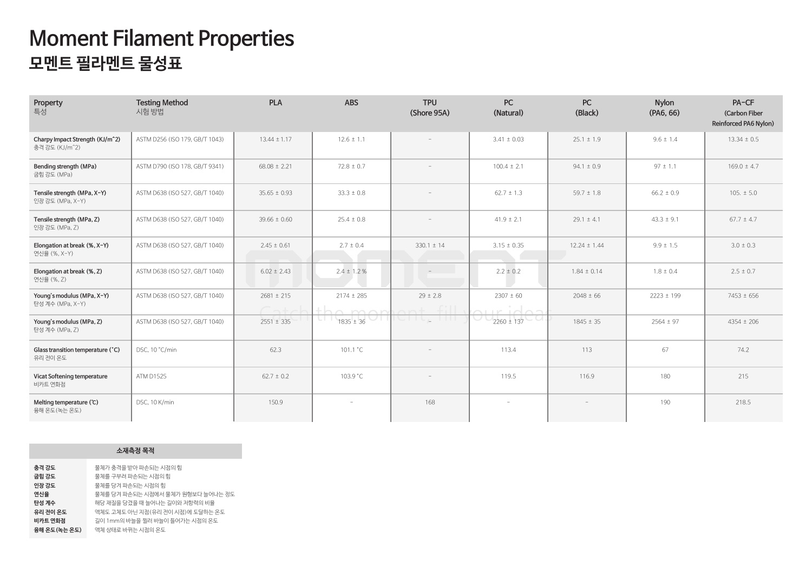| Property<br>특성                                                | <b>Testing Method</b><br>시험 방법 | <b>PLA</b>                          | <b>ABS</b>                       | <b>TPU</b><br>(Shore 95A) | <b>PC</b><br>(Natural)     | <b>PC</b><br>(Black) | <b>Nylon</b><br>(PA6, 66) | PA-CF<br>(Carbon Fiber<br>Reinforced PA6 Nylon) |
|---------------------------------------------------------------|--------------------------------|-------------------------------------|----------------------------------|---------------------------|----------------------------|----------------------|---------------------------|-------------------------------------------------|
| Charpy Impact Strength (KJ/m <sup>2</sup> )<br>충격 강도 (KJ/m^2) | ASTM D256 (ISO 179, GB/T 1043) | $13.44 \pm 1.17$                    | $12.6 \pm 1.1$                   |                           | $3.41 \pm 0.03$            | $25.1 \pm 1.9$       | $9.6 \pm 1.4$             | $13.34 \pm 0.5$                                 |
| Bending strength (MPa)<br>굽힘 강도 (MPa)                         | ASTM D790 (ISO 178, GB/T 9341) | $68.08 \pm 2.21$                    | $72.8 \pm 0.7$                   | $\equiv$                  | $100.4 \pm 2.1$            | $94.1 \pm 0.9$       | $97 \pm 1.1$              | $169.0 \pm 4.7$                                 |
| Tensile strength (MPa, X-Y)<br>인장 강도 (MPa, X-Y)               | ASTM D638 (ISO 527, GB/T 1040) | $35.65 \pm 0.93$                    | $33.3 \pm 0.8$                   |                           | $62.7 \pm 1.3$             | $59.7 \pm 1.8$       | $66.2 \pm 0.9$            | $105. \pm 5.0$                                  |
| Tensile strength (MPa, Z)<br>인장 강도 (MPa, Z)                   | ASTM D638 (ISO 527, GB/T 1040) | $39.66 \pm 0.60$                    | $25.4 \pm 0.8$                   | $\overline{\phantom{a}}$  | $41.9 \pm 2.1$             | $29.1 \pm 4.1$       | $43.3 \pm 9.1$            | $67.7 \pm 4.7$                                  |
| Elongation at break (%, X-Y)<br>연신율 (%, X-Y)                  | ASTM D638 (ISO 527, GB/T 1040) | $2.45 \pm 0.61$                     | $2.7 \pm 0.4$                    | $330.1 \pm 14$            | $3.15 \pm 0.35$            | $12.24 \pm 1.44$     | $9.9 \pm 1.5$             | $3.0 \pm 0.3$                                   |
| Elongation at break (%, Z)<br>연신율 (%, Z)                      | ASTM D638 (ISO 527, GB/T 1040) | $6.02 \pm 2.43$                     | $2.4 \pm 1.2 \%$                 | $-$                       | $2.2 \pm 0.2$              | $1.84 \pm 0.14$      | $1.8 \pm 0.4$             | $2.5 \pm 0.7$                                   |
| Young's modulus (MPa, X-Y)<br>탄성 계수 (MPa, X-Y)                | ASTM D638 (ISO 527, GB/T 1040) | $2681 \pm 215$<br>$C \rightarrow C$ | $2174 \pm 285$<br>$th\alpha$ man | $29 \pm 2.8$<br>$\cap$ n+ | $2307 \pm 60$<br>$\bigcap$ | $2048 \pm 66$        | $2223 \pm 199$            | $7453 \pm 656$                                  |
| Young's modulus (MPa, Z)<br>탄성 계수 (MPa, Z)                    | ASTM D638 (ISO 527, GB/T 1040) | $2551 \pm 335$                      | $1835 \pm 36$                    | CHU, THE                  | $2260 \pm 137$             | $1845 \pm 35$        | $2564 \pm 97$             | $4354 \pm 206$                                  |
| Glass transition temperature (°C)<br>유리 전이 온도                 | DSC, 10 °C/min                 | 62.3                                | 101.1 °C                         | $\overline{\phantom{a}}$  | 113.4                      | 113                  | 67                        | 74.2                                            |
| Vicat Softening temperature<br>비카트 연화점                        | <b>ATM D1525</b>               | $62.7 \pm 0.2$                      | 103.9 °C                         | $\overline{\phantom{a}}$  | 119.5                      | 116.9                | 180                       | 215                                             |
| Melting temperature (°C)<br>융해 온도 (녹는 온도)                     | DSC, 10 K/min                  | 150.9                               | $\overline{\phantom{a}}$         | 168                       | $\sim$                     | $\equiv$             | 190                       | 218.5                                           |

## **Moment Filament Properties 모멘트 필라멘트 물성표**

|                                                                                | 소재즉정 목적                                                                                                                                                                                                                           |
|--------------------------------------------------------------------------------|-----------------------------------------------------------------------------------------------------------------------------------------------------------------------------------------------------------------------------------|
| 충격 강도<br>굽힘 강도<br>인장 강도<br>연신율<br>탄성 계수<br>유리 전이 온도<br>비카트 연화점<br>융해 온도(녹는 온도) | 물체가 충격을 받아 파손되는 시점의 힘<br>물체를 구부려 파손되는 시점의 힘<br>물체를 당겨 파손되는 시점의 힘<br>물체를 당겨 파손되는 시점에서 물체가 워형보다 늘어나는 정도<br>해당 재질을 당겼을 때 늘어나는 길이와 저항력의 비율<br>액체도 고체도 아닌 지점(유리 전이 시점)에 도달하는 온도<br>길이 1mm의 바늘을 찔러 바늘이 들어가는 시점의 온도<br>액체 상태로 바뀌는 시점의 온도 |
|                                                                                |                                                                                                                                                                                                                                   |